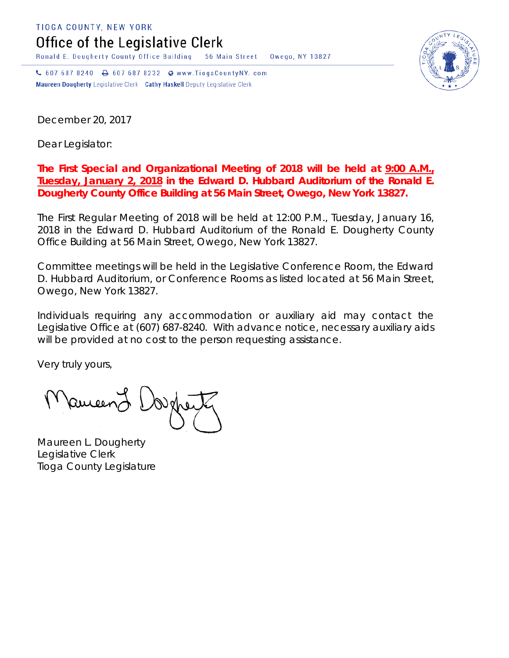TIOGA COUNTY, NEW YORK

Office of the Legislative Clerk

Ronald E. Dougherty County Office Building 56 Main Street Owego, NY 13827

↓ 607 687 8240 → 607 687 8232 → www.TiogaCountyNY.com Maureen Dougherty Legislative Clerk Cathy Haskell Deputy Legislative Clerk

December 20, 2017

Dear Legislator:

## **The First Special and Organizational Meeting of 2018 will be held at 9:00 A.M., Tuesday, January 2, 2018 in the Edward D. Hubbard Auditorium of the Ronald E. Dougherty County Office Building at 56 Main Street, Owego, New York 13827.**

The First Regular Meeting of 2018 will be held at 12:00 P.M., Tuesday, January 16, 2018 in the Edward D. Hubbard Auditorium of the Ronald E. Dougherty County Office Building at 56 Main Street, Owego, New York 13827.

Committee meetings will be held in the Legislative Conference Room, the Edward D. Hubbard Auditorium, or Conference Rooms as listed located at 56 Main Street, Owego, New York 13827.

Individuals requiring any accommodation or auxiliary aid may contact the Legislative Office at (607) 687-8240. With advance notice, necessary auxiliary aids will be provided at no cost to the person requesting assistance.

Very truly yours,

Pancent (

Maureen L. Dougherty Legislative Clerk Tioga County Legislature